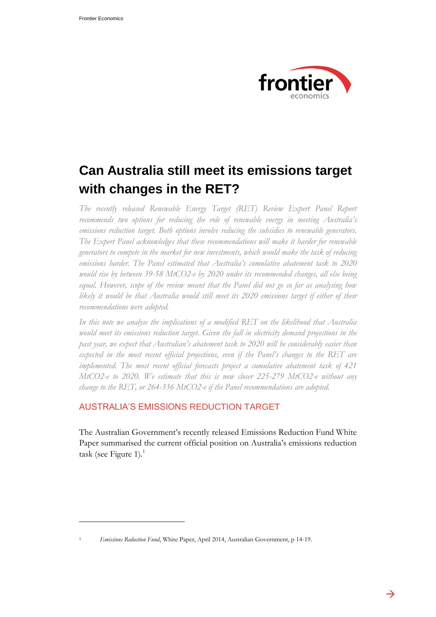

# **Can Australia still meet its emissions target with changes in the RET?**

*The recently released Renewable Energy Target (RET) Review Expert Panel Report recommends two options for reducing the role of renewable energy in meeting Australia's emissions reduction target. Both options involve reducing the subsidies to renewable generators. The Expert Panel acknowledges that these recommendations will make it harder for renewable generators to compete in the market for new investments, which would make the task of reducing emissions harder. The Panel estimated that Australia's cumulative abatement task to 2020 would rise by between 39-58 MtCO2-e by 2020 under its recommended changes, all else being equal. However, scope of the review meant that the Panel did not go so far as analysing how likely it would be that Australia would still meet its 2020 emissions target if either of their recommendations were adopted.* 

*In this note we analyse the implications of a modified RET on the likelihood that Australia would meet its emissions reduction target. Given the fall in electricity demand projections in the past year, we expect that Australian's abatement task to 2020 will be considerably easier than expected in the most recent official projections, even if the Panel's changes to the RET are implemented. The most recent official forecasts project a cumulative abatement task of 421 MtCO2-e to 2020. We estimate that this is now closer 225-279 MtCO2-e without any change to the RET, or 264-336 MtCO2-e if the Panel recommendations are adopted.*

## AUSTRALIA'S EMISSIONS REDUCTION TARGET

The Australian Government's recently released Emissions Reduction Fund White Paper summarised the current official position on Australia's emissions reduction task (see [Figure 1\)](#page-1-0). $<sup>1</sup>$ </sup>

 $\overline{a}$ 

<sup>1</sup> *Emissions Reduction Fund*, White Paper, April 2014, Australian Government, p 14-19.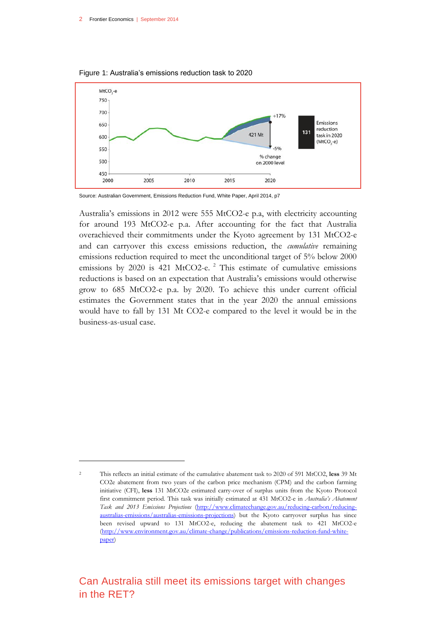$\overline{a}$ 



<span id="page-1-0"></span>Figure 1: Australia's emissions reduction task to 2020

Source: Australian Government, Emissions Reduction Fund, White Paper, April 2014, p7

Australia's emissions in 2012 were 555 MtCO2-e p.a, with electricity accounting for around 193 MtCO2-e p.a. After accounting for the fact that Australia overachieved their commitments under the Kyoto agreement by 131 MtCO2-e and can carryover this excess emissions reduction, the *cumulative* remaining emissions reduction required to meet the unconditional target of 5% below 2000 emissions by 2020 is 421 MtCO2-e.<sup>2</sup> This estimate of cumulative emissions reductions is based on an expectation that Australia's emissions would otherwise grow to 685 MtCO2-e p.a. by 2020. To achieve this under current official estimates the Government states that in the year 2020 the annual emissions would have to fall by 131 Mt CO2-e compared to the level it would be in the business-as-usual case.

<sup>2</sup> This reflects an initial estimate of the cumulative abatement task to 2020 of 591 MtCO2, **less** 39 Mt CO2e abatement from two years of the carbon price mechanism (CPM) and the carbon farming initiative (CFI), **less** 131 MtCO2e estimated carry-over of surplus units from the Kyoto Protocol first commitment period. This task was initially estimated at 431 MtCO2-e in *Australia's Abatement Task and 2013 Emissions Projections* [\(http://www.climatechange.gov.au/reducing-carbon/reducing](http://www.climatechange.gov.au/reducing-carbon/reducing-australias-emissions/australias-emissions-projections)[australias-emissions/australias-emissions-projections\)](http://www.climatechange.gov.au/reducing-carbon/reducing-australias-emissions/australias-emissions-projections) but the Kyoto carryover surplus has since been revised upward to 131 MtCO2-e, reducing the abatement task to 421 MtCO2-e [\(http://www.environment.gov.au/climate-change/publications/emissions-reduction-fund-white](http://www.environment.gov.au/climate-change/publications/emissions-reduction-fund-white-paper)[paper\)](http://www.environment.gov.au/climate-change/publications/emissions-reduction-fund-white-paper)

Can Australia still meet its emissions target with changes in the RET?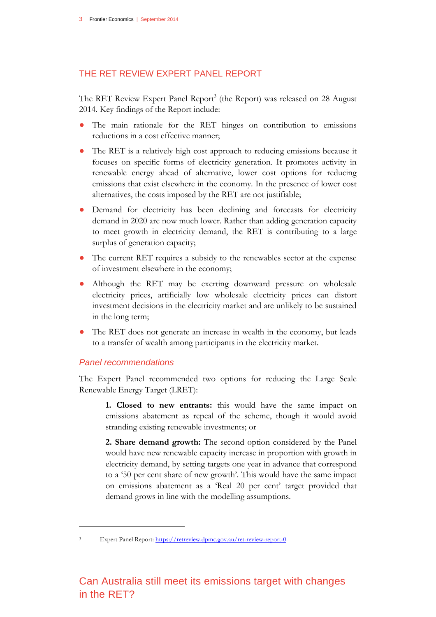### THE RET REVIEW EXPERT PANEL REPORT

The RET Review Expert Panel Report<sup>3</sup> (the Report) was released on 28 August 2014. Key findings of the Report include:

- The main rationale for the RET hinges on contribution to emissions reductions in a cost effective manner;
- The RET is a relatively high cost approach to reducing emissions because it focuses on specific forms of electricity generation. It promotes activity in renewable energy ahead of alternative, lower cost options for reducing emissions that exist elsewhere in the economy. In the presence of lower cost alternatives, the costs imposed by the RET are not justifiable;
- Demand for electricity has been declining and forecasts for electricity demand in 2020 are now much lower. Rather than adding generation capacity to meet growth in electricity demand, the RET is contributing to a large surplus of generation capacity;
- The current RET requires a subsidy to the renewables sector at the expense of investment elsewhere in the economy;
- Although the RET may be exerting downward pressure on wholesale electricity prices, artificially low wholesale electricity prices can distort investment decisions in the electricity market and are unlikely to be sustained in the long term;
- The RET does not generate an increase in wealth in the economy, but leads to a transfer of wealth among participants in the electricity market.

#### *Panel recommendations*

The Expert Panel recommended two options for reducing the Large Scale Renewable Energy Target (LRET):

**1. Closed to new entrants:** this would have the same impact on emissions abatement as repeal of the scheme, though it would avoid stranding existing renewable investments; or

**2. Share demand growth:** The second option considered by the Panel would have new renewable capacity increase in proportion with growth in electricity demand, by setting targets one year in advance that correspond to a '50 per cent share of new growth'. This would have the same impact on emissions abatement as a 'Real 20 per cent' target provided that demand grows in line with the modelling assumptions.

 $\overline{a}$ 

Expert Panel Report[: https://retreview.dpmc.gov.au/ret-review-report-0](https://retreview.dpmc.gov.au/ret-review-report-0)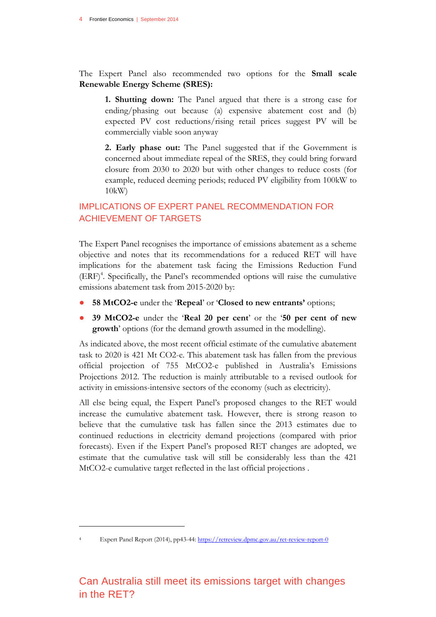The Expert Panel also recommended two options for the **Small scale Renewable Energy Scheme (SRES):**

**1. Shutting down:** The Panel argued that there is a strong case for ending/phasing out because (a) expensive abatement cost and (b) expected PV cost reductions/rising retail prices suggest PV will be commercially viable soon anyway

**2. Early phase out:** The Panel suggested that if the Government is concerned about immediate repeal of the SRES, they could bring forward closure from 2030 to 2020 but with other changes to reduce costs (for example, reduced deeming periods; reduced PV eligibility from 100kW to 10kW)

## IMPLICATIONS OF EXPERT PANEL RECOMMENDATION FOR ACHIEVEMENT OF TARGETS

The Expert Panel recognises the importance of emissions abatement as a scheme objective and notes that its recommendations for a reduced RET will have implications for the abatement task facing the Emissions Reduction Fund (ERF)<sup>4</sup>. Specifically, the Panel's recommended options will raise the cumulative emissions abatement task from 2015-2020 by:

- **58 MtCO2-e** under the '**Repeal**' or '**Closed to new entrants'** options;
- **39 MtCO2-e** under the '**Real 20 per cent**' or the '**50 per cent of new growth**' options (for the demand growth assumed in the modelling).

As indicated above, the most recent official estimate of the cumulative abatement task to 2020 is 421 Mt CO2-e. This abatement task has fallen from the previous official projection of 755 MtCO2-e published in Australia's Emissions Projections 2012. The reduction is mainly attributable to a revised outlook for activity in emissions-intensive sectors of the economy (such as electricity).

All else being equal, the Expert Panel's proposed changes to the RET would increase the cumulative abatement task. However, there is strong reason to believe that the cumulative task has fallen since the 2013 estimates due to continued reductions in electricity demand projections (compared with prior forecasts). Even if the Expert Panel's proposed RET changes are adopted, we estimate that the cumulative task will still be considerably less than the 421 MtCO2-e cumulative target reflected in the last official projections .

 $\overline{a}$ 

Expert Panel Report (2014), pp43-44:<https://retreview.dpmc.gov.au/ret-review-report-0>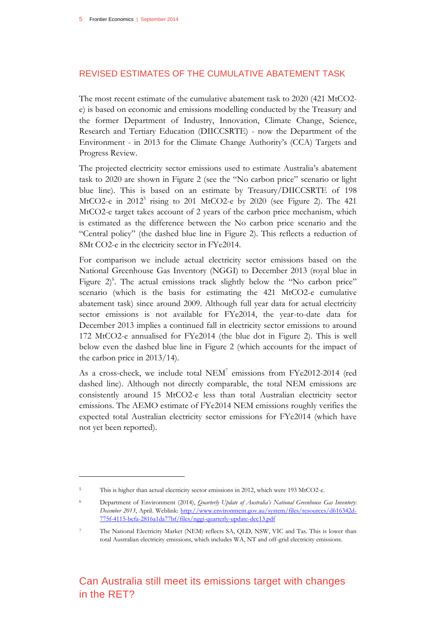#### REVISED ESTIMATES OF THE CUMULATIVE ABATEMENT TASK

The most recent estimate of the cumulative abatement task to 2020 (421 MtCO2 e) is based on economic and emissions modelling conducted by the Treasury and the former Department of Industry, Innovation, Climate Change, Science, Research and Tertiary Education (DIICCSRTE) - now the Department of the Environment - in 2013 for the Climate Change Authority's (CCA) Targets and Progress Review.

The projected electricity sector emissions used to estimate Australia's abatement task to 2020 are shown in [Figure 2](#page-5-0) (see the "No carbon price" scenario or light blue line). This is based on an estimate by Treasury/DIICCSRTE of 198 MtCO2-e in 2012<sup>5</sup> rising to 201 MtCO2-e by 2020 (see [Figure 2\)](#page-5-0). The 421 MtCO2-e target takes account of 2 years of the carbon price mechanism, which is estimated as the difference between the No carbon price scenario and the "Central policy" (the dashed blue line in [Figure 2\)](#page-5-0). This reflects a reduction of 8Mt CO2-e in the electricity sector in FYe2014.

For comparison we include actual electricity sector emissions based on the National Greenhouse Gas Inventory (NGGI) to December 2013 (royal blue in Figure 2<sup>6</sup>. The actual emissions track slightly below the "No carbon price" scenario (which is the basis for estimating the 421 MtCO2-e cumulative abatement task) since around 2009. Although full year data for actual electricity sector emissions is not available for FYe2014, the year-to-date data for December 2013 implies a continued fall in electricity sector emissions to around 172 MtCO2-e annualised for FYe2014 (the blue dot in [Figure 2\)](#page-5-0). This is well below even the dashed blue line in [Figure 2](#page-5-0) (which accounts for the impact of the carbon price in 2013/14).

As a cross-check, we include total NEM<sup>7</sup> emissions from FYe2012-2014 (red dashed line). Although not directly comparable, the total NEM emissions are consistently around 15 MtCO2-e less than total Australian electricity sector emissions. The AEMO estimate of FYe2014 NEM emissions roughly verifies the expected total Australian electricity sector emissions for FYe2014 (which have not yet been reported).

 $\overline{a}$ 

This is higher than actual electricity sector emissions in 2012, which were 193 MtCO2-e.

<sup>6</sup> Department of Environment (2014), *Quarterly Update of Australia's National Greenhouse Gas Inventory:*  December 2013, April. Weblink: [http://www.environment.gov.au/system/files/resources/d616342d-](http://www.environment.gov.au/system/files/resources/d616342d-775f-4115-bcfa-2816a1da77bf/files/nggi-quarterly-update-dec13.pdf)[775f-4115-bcfa-2816a1da77bf/files/nggi-quarterly-update-dec13.pdf](http://www.environment.gov.au/system/files/resources/d616342d-775f-4115-bcfa-2816a1da77bf/files/nggi-quarterly-update-dec13.pdf) 

<sup>7</sup> The National Electricity Market (NEM) reflects SA, QLD, NSW, VIC and Tas. This is lower than total Australian electricity emissions, which includes WA, NT and off-grid electricity emissions.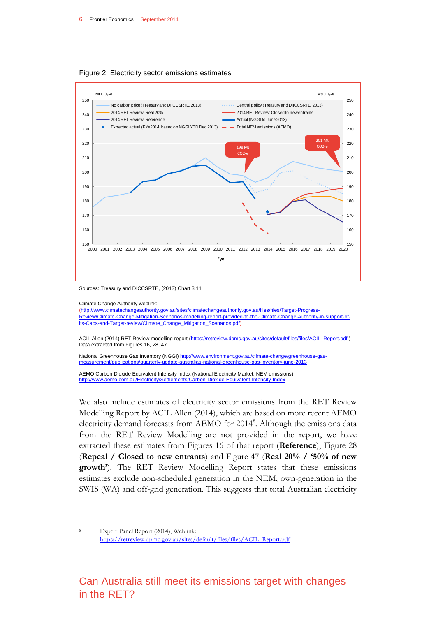

<span id="page-5-0"></span>Figure 2: Electricity sector emissions estimates

Climate Change Authority weblink:

 $\overline{a}$ 

[\(http://www.climatechangeauthority.gov.au/sites/climatechangeauthority.gov.au/files/files/Target-Progress-](http://www.climatechangeauthority.gov.au/sites/climatechangeauthority.gov.au/files/files/Target-Progress-Review/Climate-Change-Mitigation-Scenarios-modelling-report-provided-to-the-Climate-Change-Authority-in-support-of-its-Caps-and-Target-review/Climate_Change_Mitigation_Scenarios.pdf)[Review/Climate-Change-Mitigation-Scenarios-modelling-report-provided-to-the-Climate-Change-Authority-in-support-of](http://www.climatechangeauthority.gov.au/sites/climatechangeauthority.gov.au/files/files/Target-Progress-Review/Climate-Change-Mitigation-Scenarios-modelling-report-provided-to-the-Climate-Change-Authority-in-support-of-its-Caps-and-Target-review/Climate_Change_Mitigation_Scenarios.pdf)[its-Caps-and-Target-review/Climate\\_Change\\_Mitigation\\_Scenarios.pdf\)](http://www.climatechangeauthority.gov.au/sites/climatechangeauthority.gov.au/files/files/Target-Progress-Review/Climate-Change-Mitigation-Scenarios-modelling-report-provided-to-the-Climate-Change-Authority-in-support-of-its-Caps-and-Target-review/Climate_Change_Mitigation_Scenarios.pdf)

ACIL Allen (2014) RET Review modelling report [\(https://retreview.dpmc.gov.au/sites/default/files/files/ACIL\\_Report.pdf](https://retreview.dpmc.gov.au/sites/default/files/files/ACIL_Report.pdf)) Data extracted from Figures 16, 28, 47.

National Greenhouse Gas Inventory (NGGI) [http://www.environment.gov.au/climate-change/greenhouse-gas](http://www.environment.gov.au/climate-change/greenhouse-gas-measurement/publications/quarterly-update-australias-national-greenhouse-gas-inventory-june-2013)[measurement/publications/quarterly-update-australias-national-greenhouse-gas-inventory-june-2013](http://www.environment.gov.au/climate-change/greenhouse-gas-measurement/publications/quarterly-update-australias-national-greenhouse-gas-inventory-june-2013)

AEMO Carbon Dioxide Equivalent Intensity Index (National Electricity Market: NEM emissions) <http://www.aemo.com.au/Electricity/Settlements/Carbon-Dioxide-Equivalent-Intensity-Index>

We also include estimates of electricity sector emissions from the RET Review Modelling Report by ACIL Allen (2014), which are based on more recent AEMO electricity demand forecasts from AEMO for 2014<sup>8</sup>. Although the emissions data from the RET Review Modelling are not provided in the report, we have extracted these estimates from Figures 16 of that report (**Reference**), Figure 28 (**Repeal / Closed to new entrants**) and Figure 47 (**Real 20% / '50% of new growth'**). The RET Review Modelling Report states that these emissions estimates exclude non-scheduled generation in the NEM, own-generation in the SWIS (WA) and off-grid generation. This suggests that total Australian electricity

Expert Panel Report (2014), Weblink: [https://retreview.dpmc.gov.au/sites/default/files/files/ACIL\\_Report.pdf](https://retreview.dpmc.gov.au/sites/default/files/files/ACIL_Report.pdf)

Sources: Treasury and DICCSRTE, (2013) Chart 3.11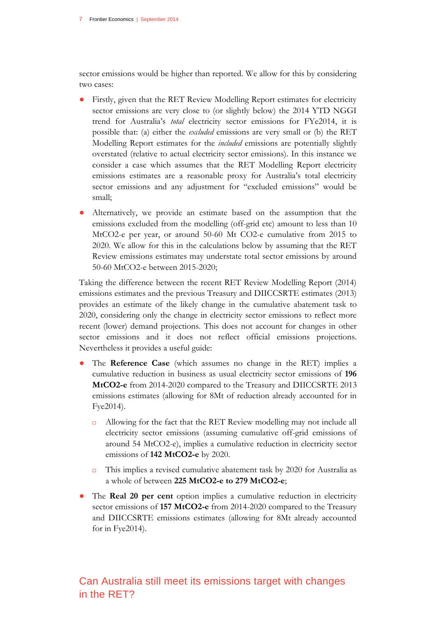sector emissions would be higher than reported. We allow for this by considering two cases:

- Firstly, given that the RET Review Modelling Report estimates for electricity sector emissions are very close to (or slightly below) the 2014 YTD NGGI trend for Australia's *total* electricity sector emissions for FYe2014, it is possible that: (a) either the *excluded* emissions are very small or (b) the RET Modelling Report estimates for the *included* emissions are potentially slightly overstated (relative to actual electricity sector emissions). In this instance we consider a case which assumes that the RET Modelling Report electricity emissions estimates are a reasonable proxy for Australia's total electricity sector emissions and any adjustment for "excluded emissions" would be small;
- Alternatively, we provide an estimate based on the assumption that the emissions excluded from the modelling (off-grid etc) amount to less than 10 MtCO2-e per year, or around 50-60 Mt CO2-e cumulative from 2015 to 2020. We allow for this in the calculations below by assuming that the RET Review emissions estimates may understate total sector emissions by around 50-60 MtCO2-e between 2015-2020;

Taking the difference between the recent RET Review Modelling Report (2014) emissions estimates and the previous Treasury and DIICCSRTE estimates (2013) provides an estimate of the likely change in the cumulative abatement task to 2020, considering only the change in electricity sector emissions to reflect more recent (lower) demand projections. This does not account for changes in other sector emissions and it does not reflect official emissions projections. Nevertheless it provides a useful guide:

- The **Reference Case** (which assumes no change in the RET) implies a cumulative reduction in business as usual electricity sector emissions of **196 MtCO2-e** from 2014-2020 compared to the Treasury and DIICCSRTE 2013 emissions estimates (allowing for 8Mt of reduction already accounted for in Fye2014).
	- □ Allowing for the fact that the RET Review modelling may not include all electricity sector emissions (assuming cumulative off-grid emissions of around 54 MtCO2-e), implies a cumulative reduction in electricity sector emissions of **142 MtCO2-e** by 2020.
	- $\Box$  This implies a revised cumulative abatement task by 2020 for Australia as a whole of between **225 MtCO2-e to 279 MtCO2-e**;
- The **Real 20 per cent** option implies a cumulative reduction in electricity sector emissions of **157 MtCO2-e** from 2014-2020 compared to the Treasury and DIICCSRTE emissions estimates (allowing for 8Mt already accounted for in Fye2014).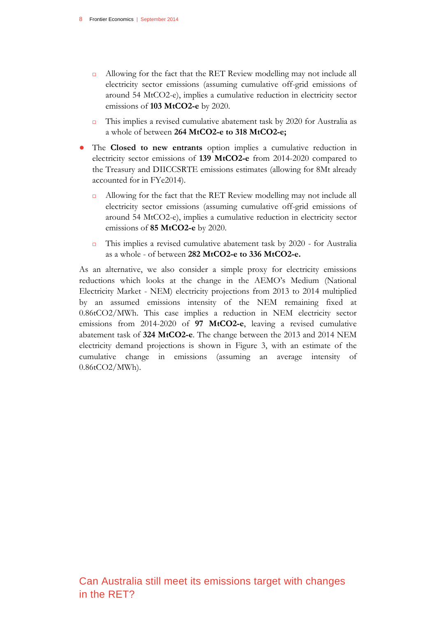- □ Allowing for the fact that the RET Review modelling may not include all electricity sector emissions (assuming cumulative off-grid emissions of around 54 MtCO2-e), implies a cumulative reduction in electricity sector emissions of **103 MtCO2-e** by 2020.
- $\Box$  This implies a revised cumulative abatement task by 2020 for Australia as a whole of between **264 MtCO2-e to 318 MtCO2-e;**
- The **Closed to new entrants** option implies a cumulative reduction in electricity sector emissions of **139 MtCO2-e** from 2014-2020 compared to the Treasury and DIICCSRTE emissions estimates (allowing for 8Mt already accounted for in FYe2014).
	- Allowing for the fact that the RET Review modelling may not include all electricity sector emissions (assuming cumulative off-grid emissions of around 54 MtCO2-e), implies a cumulative reduction in electricity sector emissions of **85 MtCO2-e** by 2020.
	- This implies a revised cumulative abatement task by 2020 for Australia as a whole - of between **282 MtCO2-e to 336 MtCO2-e.**

As an alternative, we also consider a simple proxy for electricity emissions reductions which looks at the change in the AEMO's Medium (National Electricity Market - NEM) electricity projections from 2013 to 2014 multiplied by an assumed emissions intensity of the NEM remaining fixed at 0.86tCO2/MWh. This case implies a reduction in NEM electricity sector emissions from 2014-2020 of **97 MtCO2-e**, leaving a revised cumulative abatement task of **324 MtCO2-e**. The change between the 2013 and 2014 NEM electricity demand projections is shown in [Figure 3,](#page-8-0) with an estimate of the cumulative change in emissions (assuming an average intensity of 0.86tCO2/MWh).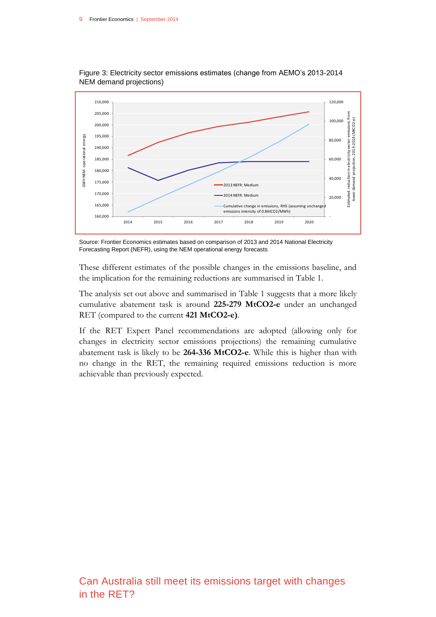

<span id="page-8-0"></span>Figure 3: Electricity sector emissions estimates (change from AEMO's 2013-2014 NEM demand projections)

Source: Frontier Economics estimates based on comparison of 2013 and 2014 National Electricity Forecasting Report (NEFR), using the NEM operational energy forecasts

These different estimates of the possible changes in the emissions baseline, and the implication for the remaining reductions are summarised in [Table 1.](#page-9-0)

The analysis set out above and summarised in [Table 1](#page-9-0) suggests that a more likely cumulative abatement task is around **225-279 MtCO2-e** under an unchanged RET (compared to the current **421 MtCO2-e)**.

If the RET Expert Panel recommendations are adopted (allowing only for changes in electricity sector emissions projections) the remaining cumulative abatement task is likely to be **264-336 MtCO2-e**. While this is higher than with no change in the RET, the remaining required emissions reduction is more achievable than previously expected.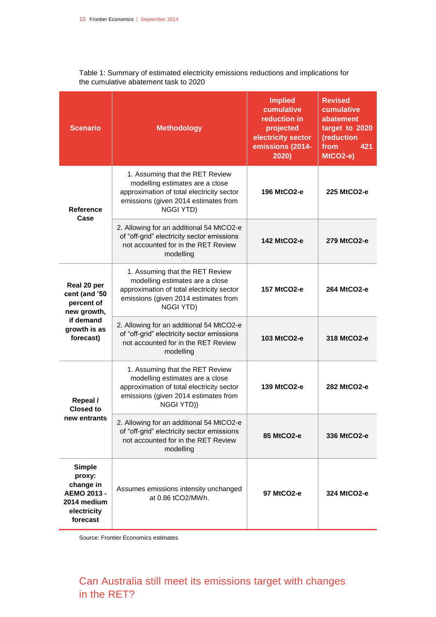| <b>Scenario</b>                                                                                      | <b>Methodology</b>                                                                                                                                                          | <b>Implied</b><br>cumulative<br>reduction in<br>projected<br>electricity sector<br>emissions (2014-<br>2020) | <b>Revised</b><br>cumulative<br>abatement<br>target to 2020<br>(reduction<br>from<br>421<br>$MtCO2-e)$ |
|------------------------------------------------------------------------------------------------------|-----------------------------------------------------------------------------------------------------------------------------------------------------------------------------|--------------------------------------------------------------------------------------------------------------|--------------------------------------------------------------------------------------------------------|
| <b>Reference</b><br>Case                                                                             | 1. Assuming that the RET Review<br>modelling estimates are a close<br>approximation of total electricity sector<br>emissions (given 2014 estimates from<br><b>NGGI YTD)</b> | 196 MtCO2-e                                                                                                  | 225 MtCO2-e                                                                                            |
|                                                                                                      | 2. Allowing for an additional 54 MtCO2-e<br>of "off-grid" electricity sector emissions<br>not accounted for in the RET Review<br>modelling                                  | 142 MtCO2-e                                                                                                  | 279 MtCO2-e                                                                                            |
| Real 20 per<br>cent (and '50<br>percent of<br>new growth,<br>if demand<br>growth is as<br>forecast)  | 1. Assuming that the RET Review<br>modelling estimates are a close<br>approximation of total electricity sector<br>emissions (given 2014 estimates from<br><b>NGGI YTD)</b> | 157 MtCO2-e                                                                                                  | 264 MtCO2-e                                                                                            |
|                                                                                                      | 2. Allowing for an additional 54 MtCO2-e<br>of "off-grid" electricity sector emissions<br>not accounted for in the RET Review<br>modelling                                  | 103 MtCO2-e                                                                                                  | 318 MtCO2-e                                                                                            |
| Repeal /<br><b>Closed to</b><br>new entrants                                                         | 1. Assuming that the RET Review<br>modelling estimates are a close<br>approximation of total electricity sector<br>emissions (given 2014 estimates from<br>NGGI YTD))       | 139 MtCO2-e                                                                                                  | 282 MtCO2-e                                                                                            |
|                                                                                                      | 2. Allowing for an additional 54 MtCO2-e<br>of "off-grid" electricity sector emissions<br>not accounted for in the RET Review<br>modelling                                  | 85 MtCO2-e                                                                                                   | 336 MtCO2-e                                                                                            |
| <b>Simple</b><br>proxy:<br>change in<br><b>AEMO 2013 -</b><br>2014 medium<br>electricity<br>forecast | Assumes emissions intensity unchanged<br>at 0.86 tCO2/MWh.                                                                                                                  | 97 MtCO2-e                                                                                                   | 324 MtCO2-e                                                                                            |

<span id="page-9-0"></span>Table 1: Summary of estimated electricity emissions reductions and implications for the cumulative abatement task to 2020

Source: Frontier Economics estimates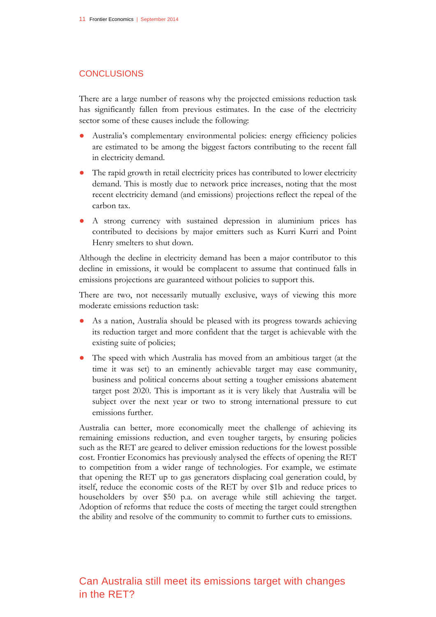#### **CONCLUSIONS**

There are a large number of reasons why the projected emissions reduction task has significantly fallen from previous estimates. In the case of the electricity sector some of these causes include the following:

- Australia's complementary environmental policies: energy efficiency policies are estimated to be among the biggest factors contributing to the recent fall in electricity demand.
- The rapid growth in retail electricity prices has contributed to lower electricity demand. This is mostly due to network price increases, noting that the most recent electricity demand (and emissions) projections reflect the repeal of the carbon tax.
- A strong currency with sustained depression in aluminium prices has contributed to decisions by major emitters such as Kurri Kurri and Point Henry smelters to shut down.

Although the decline in electricity demand has been a major contributor to this decline in emissions, it would be complacent to assume that continued falls in emissions projections are guaranteed without policies to support this.

There are two, not necessarily mutually exclusive, ways of viewing this more moderate emissions reduction task:

- As a nation, Australia should be pleased with its progress towards achieving its reduction target and more confident that the target is achievable with the existing suite of policies;
- The speed with which Australia has moved from an ambitious target (at the time it was set) to an eminently achievable target may ease community, business and political concerns about setting a tougher emissions abatement target post 2020. This is important as it is very likely that Australia will be subject over the next year or two to strong international pressure to cut emissions further.

Australia can better, more economically meet the challenge of achieving its remaining emissions reduction, and even tougher targets, by ensuring policies such as the RET are geared to deliver emission reductions for the lowest possible cost. Frontier Economics has previously analysed the effects of opening the RET to competition from a wider range of technologies. For example, we estimate that opening the RET up to gas generators displacing coal generation could, by itself, reduce the economic costs of the RET by over \$1b and reduce prices to householders by over \$50 p.a. on average while still achieving the target. Adoption of reforms that reduce the costs of meeting the target could strengthen the ability and resolve of the community to commit to further cuts to emissions.